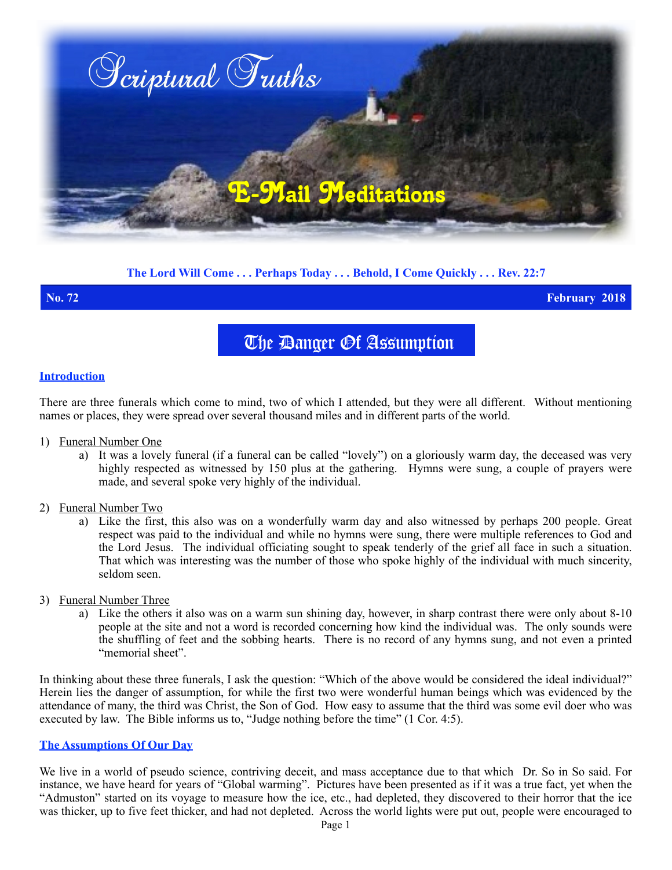

# **The Lord Will Come . . . Perhaps Today . . . Behold, I Come Quickly . . . Rev. 22:7**

**No. 72 February 2018**

The *Danger Of Assumption* 

### **Introduction**

There are three funerals which come to mind, two of which I attended, but they were all different. Without mentioning names or places, they were spread over several thousand miles and in different parts of the world.

- 1) Funeral Number One
	- a) It was a lovely funeral (if a funeral can be called "lovely") on a gloriously warm day, the deceased was very highly respected as witnessed by 150 plus at the gathering. Hymns were sung, a couple of prayers were made, and several spoke very highly of the individual.
- 2) Funeral Number Two
	- a) Like the first, this also was on a wonderfully warm day and also witnessed by perhaps 200 people. Great respect was paid to the individual and while no hymns were sung, there were multiple references to God and the Lord Jesus. The individual officiating sought to speak tenderly of the grief all face in such a situation. That which was interesting was the number of those who spoke highly of the individual with much sincerity, seldom seen.
- 3) Funeral Number Three
	- a) Like the others it also was on a warm sun shining day, however, in sharp contrast there were only about 8-10 people at the site and not a word is recorded concerning how kind the individual was. The only sounds were the shuffling of feet and the sobbing hearts. There is no record of any hymns sung, and not even a printed "memorial sheet".

In thinking about these three funerals, I ask the question: "Which of the above would be considered the ideal individual?" Herein lies the danger of assumption, for while the first two were wonderful human beings which was evidenced by the attendance of many, the third was Christ, the Son of God. How easy to assume that the third was some evil doer who was executed by law. The Bible informs us to, "Judge nothing before the time" (1 Cor. 4:5).

### **The Assumptions Of Our Day**

We live in a world of pseudo science, contriving deceit, and mass acceptance due to that which Dr. So in So said. For instance, we have heard for years of "Global warming". Pictures have been presented as if it was a true fact, yet when the "Admuston" started on its voyage to measure how the ice, etc., had depleted, they discovered to their horror that the ice was thicker, up to five feet thicker, and had not depleted. Across the world lights were put out, people were encouraged to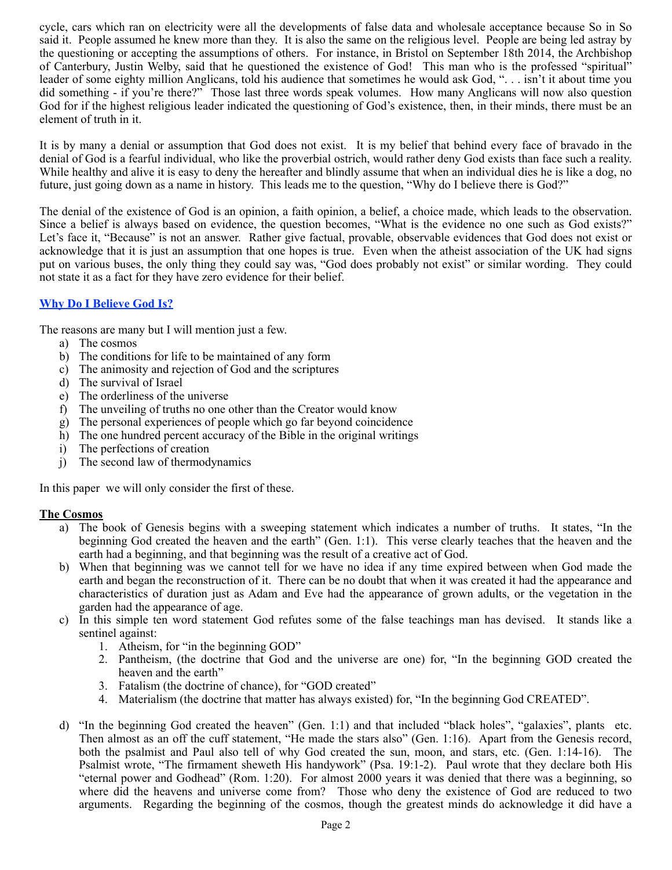cycle, cars which ran on electricity were all the developments of false data and wholesale acceptance because So in So said it. People assumed he knew more than they. It is also the same on the religious level. People are being led astray by the questioning or accepting the assumptions of others. For instance, in Bristol on September 18th 2014, the Archbishop of Canterbury, Justin Welby, said that he questioned the existence of God! This man who is the professed "spiritual" leader of some eighty million Anglicans, told his audience that sometimes he would ask God, ". . . isn't it about time you did something - if you're there?" Those last three words speak volumes. How many Anglicans will now also question God for if the highest religious leader indicated the questioning of God's existence, then, in their minds, there must be an element of truth in it.

It is by many a denial or assumption that God does not exist. It is my belief that behind every face of bravado in the denial of God is a fearful individual, who like the proverbial ostrich, would rather deny God exists than face such a reality. While healthy and alive it is easy to deny the hereafter and blindly assume that when an individual dies he is like a dog, no future, just going down as a name in history. This leads me to the question, "Why do I believe there is God?"

The denial of the existence of God is an opinion, a faith opinion, a belief, a choice made, which leads to the observation. Since a belief is always based on evidence, the question becomes, "What is the evidence no one such as God exists?" Let's face it, "Because" is not an answer. Rather give factual, provable, observable evidences that God does not exist or acknowledge that it is just an assumption that one hopes is true. Even when the atheist association of the UK had signs put on various buses, the only thing they could say was, "God does probably not exist" or similar wording. They could not state it as a fact for they have zero evidence for their belief.

# **Why Do I Believe God Is?**

The reasons are many but I will mention just a few.

- a) The cosmos
- b) The conditions for life to be maintained of any form
- c) The animosity and rejection of God and the scriptures
- d) The survival of Israel
- e) The orderliness of the universe
- f) The unveiling of truths no one other than the Creator would know
- g) The personal experiences of people which go far beyond coincidence
- h) The one hundred percent accuracy of the Bible in the original writings
- i) The perfections of creation
- j) The second law of thermodynamics

In this paper we will only consider the first of these.

# **The Cosmos**

- a) The book of Genesis begins with a sweeping statement which indicates a number of truths. It states, "In the beginning God created the heaven and the earth" (Gen. 1:1). This verse clearly teaches that the heaven and the earth had a beginning, and that beginning was the result of a creative act of God.
- b) When that beginning was we cannot tell for we have no idea if any time expired between when God made the earth and began the reconstruction of it. There can be no doubt that when it was created it had the appearance and characteristics of duration just as Adam and Eve had the appearance of grown adults, or the vegetation in the garden had the appearance of age.
- c) In this simple ten word statement God refutes some of the false teachings man has devised. It stands like a sentinel against:
	- 1. Atheism, for "in the beginning GOD"
	- 2. Pantheism, (the doctrine that God and the universe are one) for, "In the beginning GOD created the heaven and the earth"
	- 3. Fatalism (the doctrine of chance), for "GOD created"
	- 4. Materialism (the doctrine that matter has always existed) for, "In the beginning God CREATED".
- d) "In the beginning God created the heaven" (Gen. 1:1) and that included "black holes", "galaxies", plants etc. Then almost as an off the cuff statement, "He made the stars also" (Gen. 1:16). Apart from the Genesis record, both the psalmist and Paul also tell of why God created the sun, moon, and stars, etc. (Gen. 1:14-16). The Psalmist wrote, "The firmament sheweth His handywork" (Psa. 19:1-2). Paul wrote that they declare both His "eternal power and Godhead" (Rom. 1:20). For almost 2000 years it was denied that there was a beginning, so where did the heavens and universe come from? Those who deny the existence of God are reduced to two arguments. Regarding the beginning of the cosmos, though the greatest minds do acknowledge it did have a